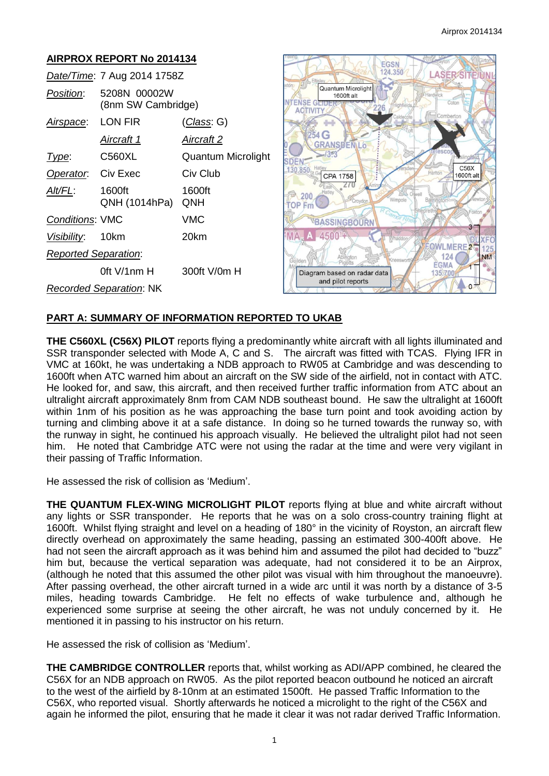#### **AIRPROX REPORT No 2014134** EGSN 124.350 **LASER SITE** *Date/Time*: 7 Aug 2014 1758Z Quantum Microlight *Position*: 5208N 00002W 1600ft alt **VTENSE GETE** (8nm SW Cambridge) **ACTIVITY** *Airspace*: LON FIR (*Class*: G) i4 G *Aircraft 1 Aircraft 2* **GRANSDENLO**  $5/3.3$ **Type:** C560XL Quantum Microlight **SDEN**  $C56X$ 130.850 **Operator:** Civ Exec Civ Club CPA 1758 1600ft alt *Alt/FL*: 1600ft 1600ft @ 200 QNH (1014hPa) QNH **TOP Fm** *Conditions*: VMC VMC BASSINGBOURN *Visibility*: 10km 20km 4500'+ **MA** OWLMERE<sub>2</sub> *Reported Separation*:  $124($ **NM EGMA** 0ft V/1nm H 300ft V/0m H Diagram based on radar data 135 700 and pilot reports  $\Omega$ *Recorded Separation*: NK

# **PART A: SUMMARY OF INFORMATION REPORTED TO UKAB**

**THE C560XL (C56X) PILOT** reports flying a predominantly white aircraft with all lights illuminated and SSR transponder selected with Mode A, C and S. The aircraft was fitted with TCAS. Flying IFR in VMC at 160kt, he was undertaking a NDB approach to RW05 at Cambridge and was descending to 1600ft when ATC warned him about an aircraft on the SW side of the airfield, not in contact with ATC. He looked for, and saw, this aircraft, and then received further traffic information from ATC about an ultralight aircraft approximately 8nm from CAM NDB southeast bound. He saw the ultralight at 1600ft within 1nm of his position as he was approaching the base turn point and took avoiding action by turning and climbing above it at a safe distance. In doing so he turned towards the runway so, with the runway in sight, he continued his approach visually. He believed the ultralight pilot had not seen him. He noted that Cambridge ATC were not using the radar at the time and were very vigilant in their passing of Traffic Information.

He assessed the risk of collision as 'Medium'.

**THE QUANTUM FLEX-WING MICROLIGHT PILOT** reports flying at blue and white aircraft without any lights or SSR transponder. He reports that he was on a solo cross-country training flight at 1600ft. Whilst flying straight and level on a heading of 180° in the vicinity of Royston, an aircraft flew directly overhead on approximately the same heading, passing an estimated 300-400ft above. He had not seen the aircraft approach as it was behind him and assumed the pilot had decided to "buzz" him but, because the vertical separation was adequate, had not considered it to be an Airprox, (although he noted that this assumed the other pilot was visual with him throughout the manoeuvre). After passing overhead, the other aircraft turned in a wide arc until it was north by a distance of 3-5 miles, heading towards Cambridge. He felt no effects of wake turbulence and, although he experienced some surprise at seeing the other aircraft, he was not unduly concerned by it. He mentioned it in passing to his instructor on his return.

He assessed the risk of collision as 'Medium'.

**THE CAMBRIDGE CONTROLLER** reports that, whilst working as ADI/APP combined, he cleared the C56X for an NDB approach on RW05. As the pilot reported beacon outbound he noticed an aircraft to the west of the airfield by 8-10nm at an estimated 1500ft. He passed Traffic Information to the C56X, who reported visual. Shortly afterwards he noticed a microlight to the right of the C56X and again he informed the pilot, ensuring that he made it clear it was not radar derived Traffic Information.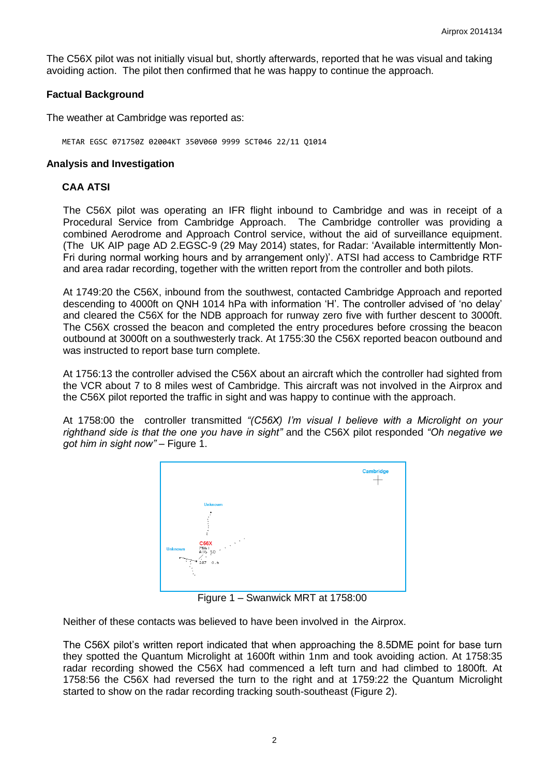The C56X pilot was not initially visual but, shortly afterwards, reported that he was visual and taking avoiding action. The pilot then confirmed that he was happy to continue the approach.

### **Factual Background**

The weather at Cambridge was reported as:

METAR EGSC 071750Z 02004KT 350V060 9999 SCT046 22/11 Q1014

### **Analysis and Investigation**

## **CAA ATSI**

The C56X pilot was operating an IFR flight inbound to Cambridge and was in receipt of a Procedural Service from Cambridge Approach. The Cambridge controller was providing a combined Aerodrome and Approach Control service, without the aid of surveillance equipment. (The UK AIP page AD 2.EGSC-9 (29 May 2014) states, for Radar: 'Available intermittently Mon-Fri during normal working hours and by arrangement only)'. ATSI had access to Cambridge RTF and area radar recording, together with the written report from the controller and both pilots.

At 1749:20 the C56X, inbound from the southwest, contacted Cambridge Approach and reported descending to 4000ft on QNH 1014 hPa with information 'H'. The controller advised of 'no delay' and cleared the C56X for the NDB approach for runway zero five with further descent to 3000ft. The C56X crossed the beacon and completed the entry procedures before crossing the beacon outbound at 3000ft on a southwesterly track. At 1755:30 the C56X reported beacon outbound and was instructed to report base turn complete.

At 1756:13 the controller advised the C56X about an aircraft which the controller had sighted from the VCR about 7 to 8 miles west of Cambridge. This aircraft was not involved in the Airprox and the C56X pilot reported the traffic in sight and was happy to continue with the approach.

At 1758:00 the controller transmitted *"(C56X) I'm visual I believe with a Microlight on your righthand side is that the one you have in sight"* and the C56X pilot responded *"Oh negative we got him in sight now"* – Figure 1.



Figure 1 – Swanwick MRT at 1758:00

Neither of these contacts was believed to have been involved in the Airprox.

The C56X pilot's written report indicated that when approaching the 8.5DME point for base turn they spotted the Quantum Microlight at 1600ft within 1nm and took avoiding action. At 1758:35 radar recording showed the C56X had commenced a left turn and had climbed to 1800ft. At 1758:56 the C56X had reversed the turn to the right and at 1759:22 the Quantum Microlight started to show on the radar recording tracking south-southeast (Figure 2).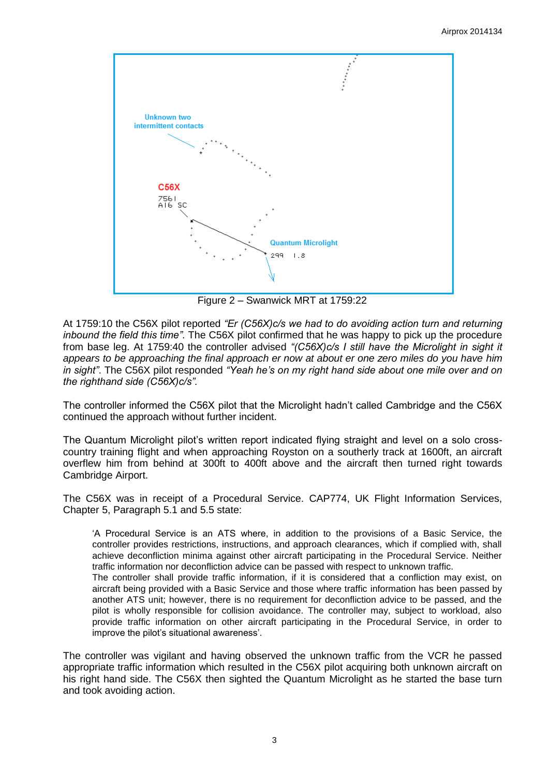

Figure 2 – Swanwick MRT at 1759:22

At 1759:10 the C56X pilot reported *"Er (C56X)c/s we had to do avoiding action turn and returning inbound the field this time"*. The C56X pilot confirmed that he was happy to pick up the procedure from base leg. At 1759:40 the controller advised *"(C56X)c/s I still have the Microlight in sight it appears to be approaching the final approach er now at about er one zero miles do you have him in sight"*. The C56X pilot responded *"Yeah he's on my right hand side about one mile over and on the righthand side (C56X)c/s".* 

The controller informed the C56X pilot that the Microlight hadn't called Cambridge and the C56X continued the approach without further incident.

The Quantum Microlight pilot's written report indicated flying straight and level on a solo crosscountry training flight and when approaching Royston on a southerly track at 1600ft, an aircraft overflew him from behind at 300ft to 400ft above and the aircraft then turned right towards Cambridge Airport.

The C56X was in receipt of a Procedural Service. CAP774, UK Flight Information Services, Chapter 5, Paragraph 5.1 and 5.5 state:

'A Procedural Service is an ATS where, in addition to the provisions of a Basic Service, the controller provides restrictions, instructions, and approach clearances, which if complied with, shall achieve deconfliction minima against other aircraft participating in the Procedural Service. Neither traffic information nor deconfliction advice can be passed with respect to unknown traffic.

The controller shall provide traffic information, if it is considered that a confliction may exist, on aircraft being provided with a Basic Service and those where traffic information has been passed by another ATS unit; however, there is no requirement for deconfliction advice to be passed, and the pilot is wholly responsible for collision avoidance. The controller may, subject to workload, also provide traffic information on other aircraft participating in the Procedural Service, in order to improve the pilot's situational awareness'.

The controller was vigilant and having observed the unknown traffic from the VCR he passed appropriate traffic information which resulted in the C56X pilot acquiring both unknown aircraft on his right hand side. The C56X then sighted the Quantum Microlight as he started the base turn and took avoiding action.